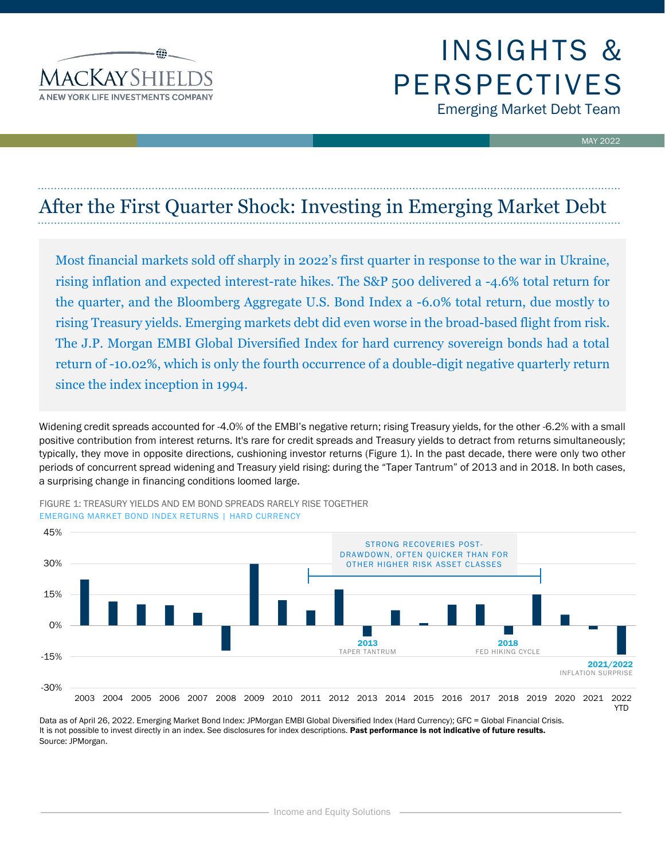

# INSIGHTS & PERSPECTIVES Emerging Market Debt Team

MAY 2022

## After the First Quarter Shock: Investing in Emerging Market Debt

Most financial markets sold off sharply in 2022's first quarter in response to the war in Ukraine, rising inflation and expected interest-rate hikes. The S&P 500 delivered a -4.6% total return for the quarter, and the Bloomberg Aggregate U.S. Bond Index a -6.0% total return, due mostly to rising Treasury yields. Emerging markets debt did even worse in the broad-based flight from risk. The J.P. Morgan EMBI Global Diversified Index for hard currency sovereign bonds had a total return of -10.02%, which is only the fourth occurrence of a double-digit negative quarterly return since the index inception in 1994.

Widening credit spreads accounted for -4.0% of the EMBI's negative return; rising Treasury yields, for the other -6.2% with a small positive contribution from interest returns. It's rare for credit spreads and Treasury yields to detract from returns simultaneously; typically, they move in opposite directions, cushioning investor returns (Figure 1). In the past decade, there were only two other periods of concurrent spread widening and Treasury yield rising: during the "Taper Tantrum" of 2013 and in 2018. In both cases, a surprising change in financing conditions loomed large.



FIGURE 1: TREASURY YIELDS AND EM BOND SPREADS RARELY RISE TOGETHER EMERGING MARKET BOND INDEX RETURNS | HARD CURRENCY

Data as of April 26, 2022. Emerging Market Bond Index: JPMorgan EMBI Global Diversified Index (Hard Currency); GFC = Global Financial Crisis. It is not possible to invest directly in an index. See disclosures for index descriptions. Past performance is not indicative of future results. Source: JPMorgan.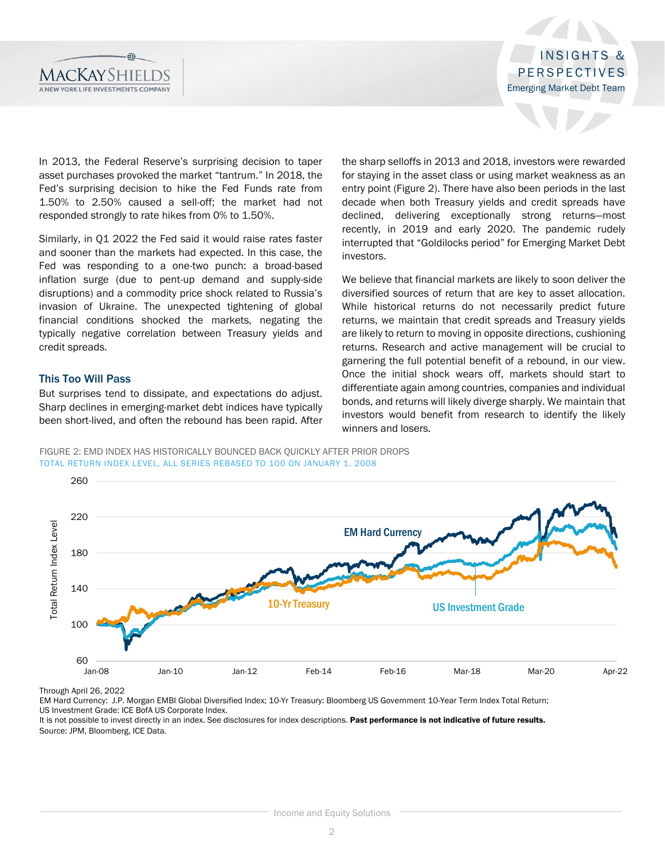

In 2013, the Federal Reserve's surprising decision to taper asset purchases provoked the market "tantrum." In 2018, the Fed's surprising decision to hike the Fed Funds rate from 1.50% to 2.50% caused a sell-off; the market had not responded strongly to rate hikes from 0% to 1.50%.

Similarly, in Q1 2022 the Fed said it would raise rates faster and sooner than the markets had expected. In this case, the Fed was responding to a one-two punch: a broad-based inflation surge (due to pent-up demand and supply-side disruptions) and a commodity price shock related to Russia's invasion of Ukraine. The unexpected tightening of global financial conditions shocked the markets, negating the typically negative correlation between Treasury yields and credit spreads.

## This Too Will Pass

But surprises tend to dissipate, and expectations do adjust. Sharp declines in emerging-market debt indices have typically been short-lived, and often the rebound has been rapid. After

the sharp selloffs in 2013 and 2018, investors were rewarded for staying in the asset class or using market weakness as an entry point (Figure 2). There have also been periods in the last decade when both Treasury yields and credit spreads have declined, delivering exceptionally strong returns—most recently, in 2019 and early 2020. The pandemic rudely interrupted that "Goldilocks period" for Emerging Market Debt investors.

We believe that financial markets are likely to soon deliver the diversified sources of return that are key to asset allocation. While historical returns do not necessarily predict future returns, we maintain that credit spreads and Treasury yields are likely to return to moving in opposite directions, cushioning returns. Research and active management will be crucial to garnering the full potential benefit of a rebound, in our view. Once the initial shock wears off, markets should start to differentiate again among countries, companies and individual bonds, and returns will likely diverge sharply. We maintain that investors would benefit from research to identify the likely winners and losers.

FIGURE 2: EMD INDEX HAS HISTORICALLY BOUNCED BACK QUICKLY AFTER PRIOR DROPS TOTAL RETURN INDEX LEVEL, ALL SERIES REBASED TO 100 ON JANUARY 1, 2008



Through April 26, 2022

EM Hard Currency: J.P. Morgan EMBI Global Diversified Index; 10-Yr Treasury: Bloomberg US Government 10-Year Term Index Total Return; US Investment Grade: ICE BofA US Corporate Index.

It is not possible to invest directly in an index. See disclosures for index descriptions. Past performance is not indicative of future results. Source: JPM, Bloomberg, ICE Data.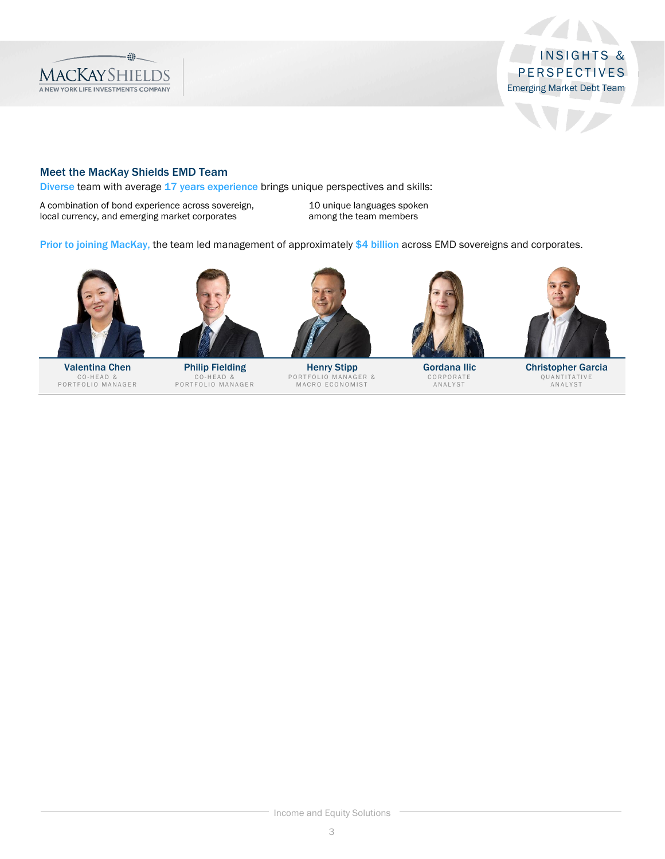

 $\mathcal{A}$ 

N

## Meet the MacKay Shields EMD Team

Diverse team with average 17 years experience brings unique perspectives and skills:

A combination of bond experience across sovereign, local currency, and emerging market corporates

10 unique languages spoken among the team members

Prior to joining MacKay, the team led management of approximately \$4 billion across EMD sovereigns and corporates.



Valentina Chen CO-HEAD &<br>PORTFOLIO MANAGER



Philip Fielding CO-HEAD &<br>PORTFOLIO MANAGER



Henry Stipp PORTFOLIO MANAGER &<br>MACRO ECONOMIST



Gordana Ilic CORPORATE<br>ANALYST



Christopher Garcia Q U A N T I T A T I V E<br>A N A L Y S T